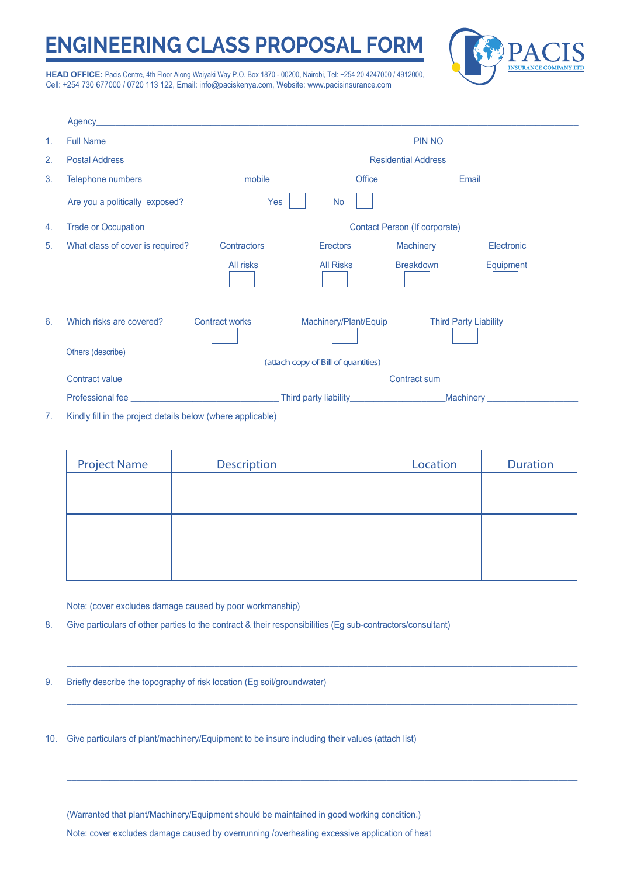## **ENGINEERING CLASS PROPOSAL FORM**



**HEAD OFFICE:** Pacis Centre, 4th Floor Along Waiyaki Way P.O. Box 1870 - 00200, Nairobi, Tel: +254 20 4247000 / 4912000, Cell: +254 730 677000 / 0720 113 122, Email: info@paciskenya.com, Website: www.pacisinsurance.com

| $\mathbf{1}$ . |                                                                                                                                                                                                                                |                       |                       |                            |                              |  |  |
|----------------|--------------------------------------------------------------------------------------------------------------------------------------------------------------------------------------------------------------------------------|-----------------------|-----------------------|----------------------------|------------------------------|--|--|
| 2.             |                                                                                                                                                                                                                                |                       |                       |                            |                              |  |  |
| 3.             |                                                                                                                                                                                                                                |                       |                       |                            |                              |  |  |
|                | Are you a politically exposed?                                                                                                                                                                                                 | Yes                   | <b>No</b>             |                            |                              |  |  |
| 4.             |                                                                                                                                                                                                                                |                       |                       |                            |                              |  |  |
| 5.             | What class of cover is required?                                                                                                                                                                                               | Contractors           | Erectors              | <b>Machinery</b> Machinery | Electronic                   |  |  |
|                |                                                                                                                                                                                                                                | All risks             | All Risks             | Breakdown                  | Equipment                    |  |  |
| 6.             | Which risks are covered?                                                                                                                                                                                                       | <b>Contract works</b> | Machinery/Plant/Equip |                            | <b>Third Party Liability</b> |  |  |
|                | Others (describe) <b>Others</b> (describe)<br>(attach copy of Bill of quantities)                                                                                                                                              |                       |                       |                            |                              |  |  |
|                |                                                                                                                                                                                                                                | Contract sum          |                       |                            |                              |  |  |
|                |                                                                                                                                                                                                                                |                       |                       |                            |                              |  |  |
|                | The contract of the contract of the contract of the contract of the contract of the contract of the contract of the contract of the contract of the contract of the contract of the contract of the contract of the contract o |                       |                       |                            |                              |  |  |

7. Kindly fill in the project details below (where applicable)

| <b>Project Name</b> | Description | Location | <b>Duration</b> |
|---------------------|-------------|----------|-----------------|
|                     |             |          |                 |
|                     |             |          |                 |
|                     |             |          |                 |
|                     |             |          |                 |
|                     |             |          |                 |

 $\mathcal{L}_\mathcal{L} = \mathcal{L}_\mathcal{L} = \mathcal{L}_\mathcal{L} = \mathcal{L}_\mathcal{L} = \mathcal{L}_\mathcal{L} = \mathcal{L}_\mathcal{L} = \mathcal{L}_\mathcal{L} = \mathcal{L}_\mathcal{L} = \mathcal{L}_\mathcal{L} = \mathcal{L}_\mathcal{L} = \mathcal{L}_\mathcal{L} = \mathcal{L}_\mathcal{L} = \mathcal{L}_\mathcal{L} = \mathcal{L}_\mathcal{L} = \mathcal{L}_\mathcal{L} = \mathcal{L}_\mathcal{L} = \mathcal{L}_\mathcal{L}$  $\mathcal{L}_\text{max} = \mathcal{L}_\text{max} = \mathcal{L}_\text{max} = \mathcal{L}_\text{max} = \mathcal{L}_\text{max} = \mathcal{L}_\text{max} = \mathcal{L}_\text{max} = \mathcal{L}_\text{max} = \mathcal{L}_\text{max} = \mathcal{L}_\text{max} = \mathcal{L}_\text{max} = \mathcal{L}_\text{max} = \mathcal{L}_\text{max} = \mathcal{L}_\text{max} = \mathcal{L}_\text{max} = \mathcal{L}_\text{max} = \mathcal{L}_\text{max} = \mathcal{L}_\text{max} = \mathcal{$ 

 $\mathcal{L}_\text{max} = \mathcal{L}_\text{max} = \mathcal{L}_\text{max} = \mathcal{L}_\text{max} = \mathcal{L}_\text{max} = \mathcal{L}_\text{max} = \mathcal{L}_\text{max} = \mathcal{L}_\text{max} = \mathcal{L}_\text{max} = \mathcal{L}_\text{max} = \mathcal{L}_\text{max} = \mathcal{L}_\text{max} = \mathcal{L}_\text{max} = \mathcal{L}_\text{max} = \mathcal{L}_\text{max} = \mathcal{L}_\text{max} = \mathcal{L}_\text{max} = \mathcal{L}_\text{max} = \mathcal{$  $\mathcal{L}_\mathcal{L} = \mathcal{L}_\mathcal{L} = \mathcal{L}_\mathcal{L} = \mathcal{L}_\mathcal{L} = \mathcal{L}_\mathcal{L} = \mathcal{L}_\mathcal{L} = \mathcal{L}_\mathcal{L} = \mathcal{L}_\mathcal{L} = \mathcal{L}_\mathcal{L} = \mathcal{L}_\mathcal{L} = \mathcal{L}_\mathcal{L} = \mathcal{L}_\mathcal{L} = \mathcal{L}_\mathcal{L} = \mathcal{L}_\mathcal{L} = \mathcal{L}_\mathcal{L} = \mathcal{L}_\mathcal{L} = \mathcal{L}_\mathcal{L}$ 

 $\mathcal{L}_\text{max} = \mathcal{L}_\text{max} = \mathcal{L}_\text{max} = \mathcal{L}_\text{max} = \mathcal{L}_\text{max} = \mathcal{L}_\text{max} = \mathcal{L}_\text{max} = \mathcal{L}_\text{max} = \mathcal{L}_\text{max} = \mathcal{L}_\text{max} = \mathcal{L}_\text{max} = \mathcal{L}_\text{max} = \mathcal{L}_\text{max} = \mathcal{L}_\text{max} = \mathcal{L}_\text{max} = \mathcal{L}_\text{max} = \mathcal{L}_\text{max} = \mathcal{L}_\text{max} = \mathcal{$  $\mathcal{L}_\mathcal{L} = \mathcal{L}_\mathcal{L} = \mathcal{L}_\mathcal{L} = \mathcal{L}_\mathcal{L} = \mathcal{L}_\mathcal{L} = \mathcal{L}_\mathcal{L} = \mathcal{L}_\mathcal{L} = \mathcal{L}_\mathcal{L} = \mathcal{L}_\mathcal{L} = \mathcal{L}_\mathcal{L} = \mathcal{L}_\mathcal{L} = \mathcal{L}_\mathcal{L} = \mathcal{L}_\mathcal{L} = \mathcal{L}_\mathcal{L} = \mathcal{L}_\mathcal{L} = \mathcal{L}_\mathcal{L} = \mathcal{L}_\mathcal{L}$  $\mathcal{L}_\text{max} = \mathcal{L}_\text{max} = \mathcal{L}_\text{max} = \mathcal{L}_\text{max} = \mathcal{L}_\text{max} = \mathcal{L}_\text{max} = \mathcal{L}_\text{max} = \mathcal{L}_\text{max} = \mathcal{L}_\text{max} = \mathcal{L}_\text{max} = \mathcal{L}_\text{max} = \mathcal{L}_\text{max} = \mathcal{L}_\text{max} = \mathcal{L}_\text{max} = \mathcal{L}_\text{max} = \mathcal{L}_\text{max} = \mathcal{L}_\text{max} = \mathcal{L}_\text{max} = \mathcal{$ 

Note: (cover excludes damage caused by poor workmanship)

- 8. Give particulars of other parties to the contract & their responsibilities (Eg sub-contractors/consultant)
- 9. Briefly describe the topography of risk location (Eg soil/groundwater)

10. Give particulars of plant/machinery/Equipment to be insure including their values (attach list)

(Warranted that plant/Machinery/Equipment should be maintained in good working condition.)

Note: cover excludes damage caused by overrunning /overheating excessive application of heat